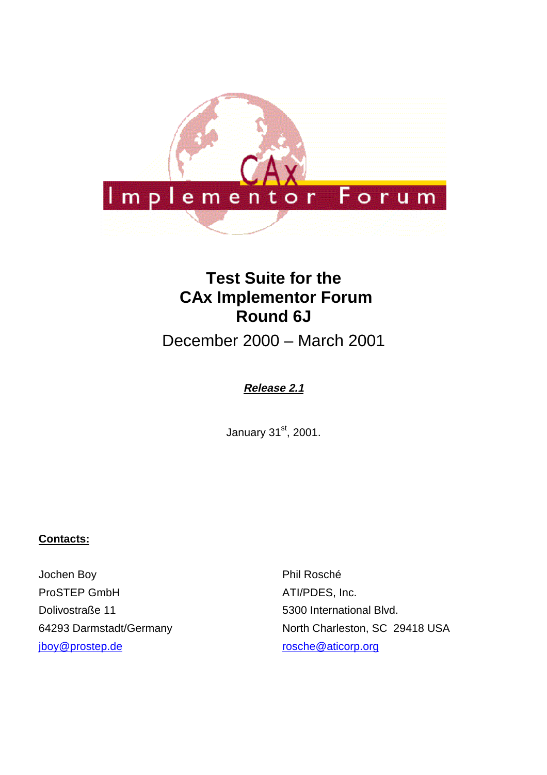

# **Test Suite for the CAx Implementor Forum Round 6J**

December 2000 – March 2001

# **Release 2.1**

January 31st, 2001.

## **Contacts:**

Jochen Boy ProSTEP GmbH Dolivostraße 11 64293 Darmstadt/Germany jboy@prostep.de

Phil Rosché ATI/PDES, Inc. 5300 International Blvd. North Charleston, SC 29418 USA rosche@aticorp.org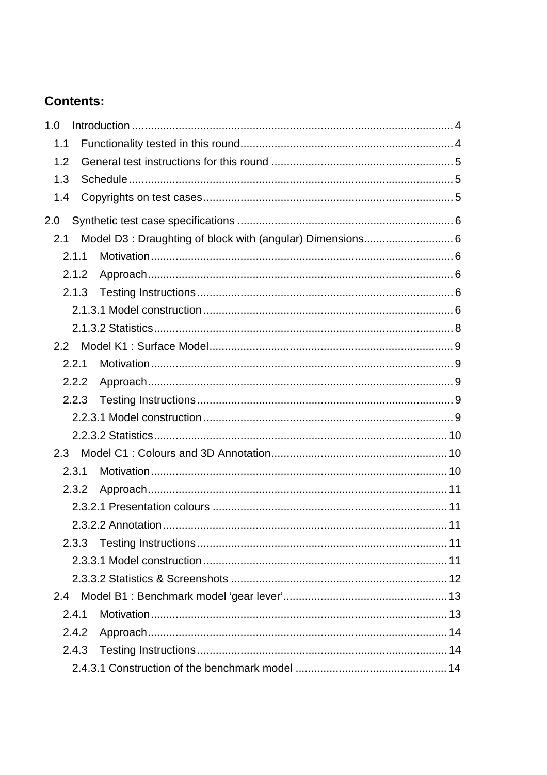# **Contents:**

| 1.0   |                                                            |  |
|-------|------------------------------------------------------------|--|
| 1.1   |                                                            |  |
| 1.2   |                                                            |  |
| 1.3   |                                                            |  |
| 1.4   |                                                            |  |
| 2.0   |                                                            |  |
| 2.1   | Model D3 : Draughting of block with (angular) Dimensions 6 |  |
| 2.1.1 |                                                            |  |
| 2.1.2 |                                                            |  |
| 2.1.3 |                                                            |  |
|       |                                                            |  |
|       |                                                            |  |
| 2.2   |                                                            |  |
| 2.2.1 |                                                            |  |
| 2.2.2 |                                                            |  |
| 2.2.3 |                                                            |  |
|       |                                                            |  |
|       |                                                            |  |
| 2.3   |                                                            |  |
| 2.3.1 |                                                            |  |
| 2.3.2 |                                                            |  |
|       |                                                            |  |
|       |                                                            |  |
| 2.3.3 |                                                            |  |
|       |                                                            |  |
|       |                                                            |  |
| 2.4   |                                                            |  |
| 2.4.1 |                                                            |  |
| 2.4.2 |                                                            |  |
| 2.4.3 |                                                            |  |
|       |                                                            |  |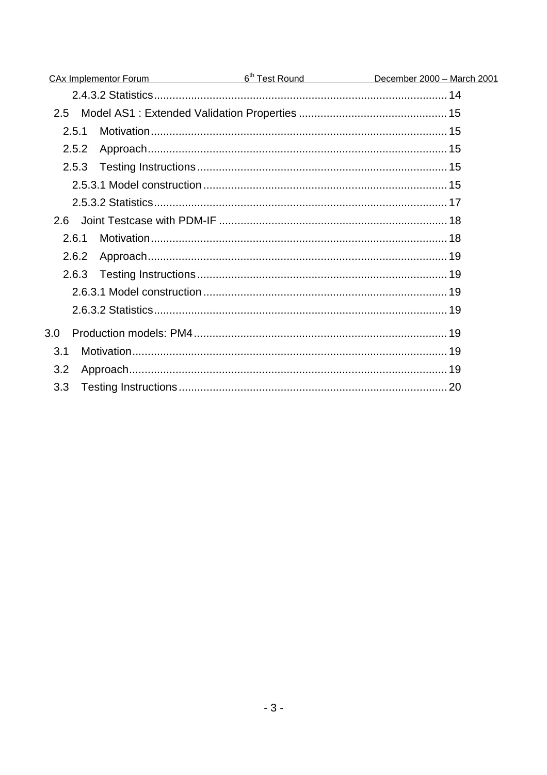| CAx Implementor Forum | 6 <sup>th</sup> Test Round <b>600 million</b> | December 2000 - March 2001 |
|-----------------------|-----------------------------------------------|----------------------------|
|                       |                                               |                            |
| 2.5                   |                                               |                            |
| 2.5.1                 |                                               |                            |
| 2.5.2                 |                                               |                            |
| 2.5.3                 |                                               |                            |
|                       |                                               |                            |
|                       |                                               |                            |
| 2.6                   |                                               |                            |
| 2.6.1                 |                                               |                            |
| 2.6.2                 |                                               |                            |
| 2.6.3                 |                                               |                            |
|                       |                                               |                            |
|                       |                                               |                            |
| 3.0                   |                                               |                            |
| 3.1                   |                                               |                            |
| 3.2                   |                                               |                            |
| 3.3                   |                                               |                            |
|                       |                                               |                            |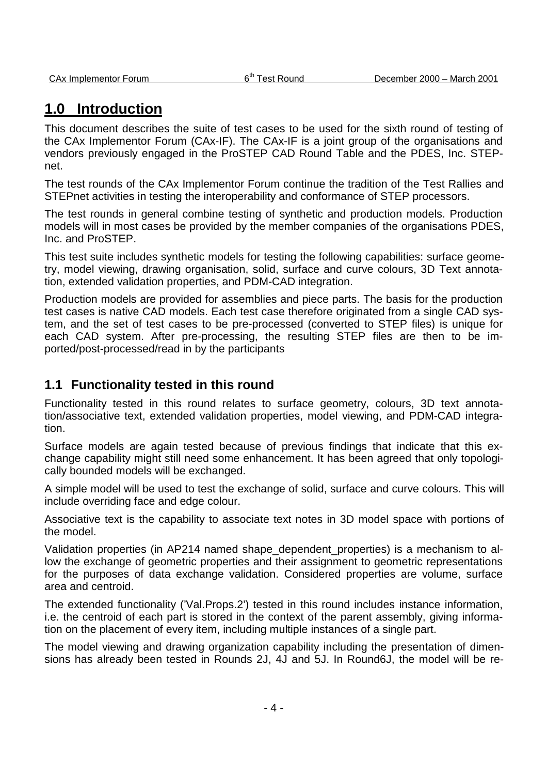# **1.0 Introduction**

This document describes the suite of test cases to be used for the sixth round of testing of the CAx Implementor Forum (CAx-IF). The CAx-IF is a joint group of the organisations and vendors previously engaged in the ProSTEP CAD Round Table and the PDES, Inc. STEPnet.

The test rounds of the CAx Implementor Forum continue the tradition of the Test Rallies and STEPnet activities in testing the interoperability and conformance of STEP processors.

The test rounds in general combine testing of synthetic and production models. Production models will in most cases be provided by the member companies of the organisations PDES, Inc. and ProSTEP.

This test suite includes synthetic models for testing the following capabilities: surface geometry, model viewing, drawing organisation, solid, surface and curve colours, 3D Text annotation, extended validation properties, and PDM-CAD integration.

Production models are provided for assemblies and piece parts. The basis for the production test cases is native CAD models. Each test case therefore originated from a single CAD system, and the set of test cases to be pre-processed (converted to STEP files) is unique for each CAD system. After pre-processing, the resulting STEP files are then to be imported/post-processed/read in by the participants

# **1.1 Functionality tested in this round**

Functionality tested in this round relates to surface geometry, colours, 3D text annotation/associative text, extended validation properties, model viewing, and PDM-CAD integration.

Surface models are again tested because of previous findings that indicate that this exchange capability might still need some enhancement. It has been agreed that only topologically bounded models will be exchanged.

A simple model will be used to test the exchange of solid, surface and curve colours. This will include overriding face and edge colour.

Associative text is the capability to associate text notes in 3D model space with portions of the model.

Validation properties (in AP214 named shape dependent properties) is a mechanism to allow the exchange of geometric properties and their assignment to geometric representations for the purposes of data exchange validation. Considered properties are volume, surface area and centroid.

The extended functionality ('Val.Props.2') tested in this round includes instance information, i.e. the centroid of each part is stored in the context of the parent assembly, giving information on the placement of every item, including multiple instances of a single part.

The model viewing and drawing organization capability including the presentation of dimensions has already been tested in Rounds 2J, 4J and 5J. In Round6J, the model will be re-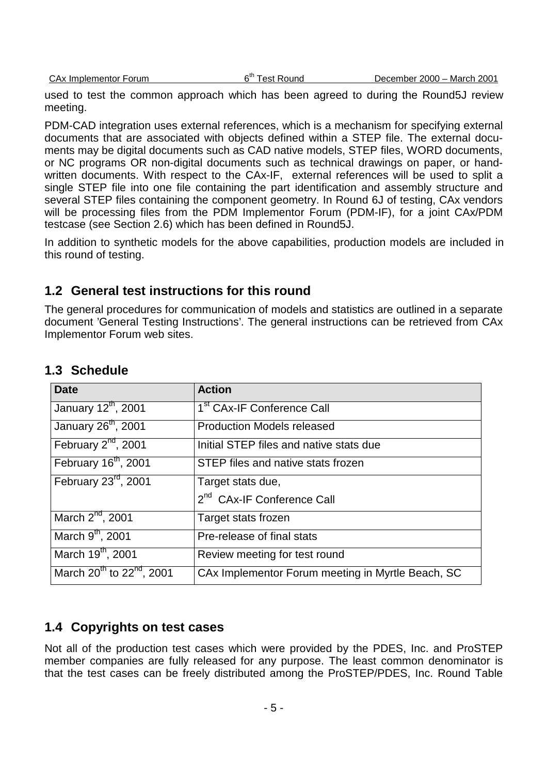used to test the common approach which has been agreed to during the Round5J review meeting.

PDM-CAD integration uses external references, which is a mechanism for specifying external documents that are associated with objects defined within a STEP file. The external documents may be digital documents such as CAD native models, STEP files, WORD documents, or NC programs OR non-digital documents such as technical drawings on paper, or handwritten documents. With respect to the CAx-IF, external references will be used to split a single STEP file into one file containing the part identification and assembly structure and several STEP files containing the component geometry. In Round 6J of testing, CAx vendors will be processing files from the PDM Implementor Forum (PDM-IF), for a joint CAx/PDM testcase (see Section 2.6) which has been defined in Round5J.

In addition to synthetic models for the above capabilities, production models are included in this round of testing.

# **1.2 General test instructions for this round**

The general procedures for communication of models and statistics are outlined in a separate document 'General Testing Instructions'. The general instructions can be retrieved from CAx Implementor Forum web sites.

| <b>Date</b>                                       | <b>Action</b>                                     |
|---------------------------------------------------|---------------------------------------------------|
| January 12th, 2001                                | 1 <sup>st</sup> CAx-IF Conference Call            |
| January 26 <sup>th</sup> , 2001                   | <b>Production Models released</b>                 |
| February 2 <sup>nd</sup> , 2001                   | Initial STEP files and native stats due           |
| February 16 <sup>th</sup> , 2001                  | STEP files and native stats frozen                |
| February 23 <sup>rd</sup> , 2001                  | Target stats due,                                 |
|                                                   | 2 <sup>nd</sup> CAx-IF Conference Call            |
| March 2 <sup>nd</sup> , 2001                      | Target stats frozen                               |
| March 9 <sup>th</sup> , 2001                      | Pre-release of final stats                        |
| March 19 <sup>th</sup> , 2001                     | Review meeting for test round                     |
| March 20 <sup>th</sup> to 22 <sup>nd</sup> , 2001 | CAx Implementor Forum meeting in Myrtle Beach, SC |

# **1.3 Schedule**

# **1.4 Copyrights on test cases**

Not all of the production test cases which were provided by the PDES, Inc. and ProSTEP member companies are fully released for any purpose. The least common denominator is that the test cases can be freely distributed among the ProSTEP/PDES, Inc. Round Table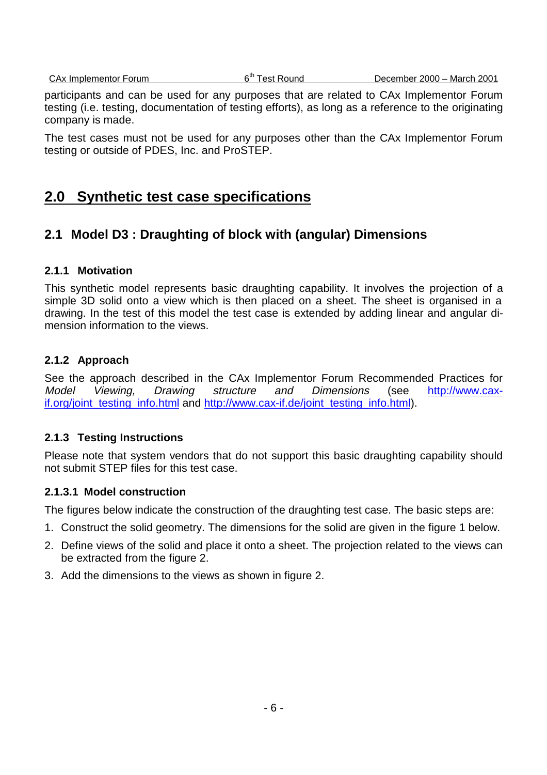CAx Implementor Forum 6<sup>th</sup> Test Round December 2000 – March 2001

participants and can be used for any purposes that are related to CAx Implementor Forum testing (i.e. testing, documentation of testing efforts), as long as a reference to the originating company is made.

The test cases must not be used for any purposes other than the CAx Implementor Forum testing or outside of PDES, Inc. and ProSTEP.

# **2.0 Synthetic test case specifications**

# **2.1 Model D3 : Draughting of block with (angular) Dimensions**

## **2.1.1 Motivation**

This synthetic model represents basic draughting capability. It involves the projection of a simple 3D solid onto a view which is then placed on a sheet. The sheet is organised in a drawing. In the test of this model the test case is extended by adding linear and angular dimension information to the views.

## **2.1.2 Approach**

See the approach described in the CAx Implementor Forum Recommended Practices for Model Viewing, Drawing structure and Dimensions (see http://www.caxif.org/joint\_testing\_info.html and http://www.cax-if.de/joint\_testing\_info.html).

## **2.1.3 Testing Instructions**

Please note that system vendors that do not support this basic draughting capability should not submit STEP files for this test case.

## **2.1.3.1 Model construction**

The figures below indicate the construction of the draughting test case. The basic steps are:

- 1. Construct the solid geometry. The dimensions for the solid are given in the figure 1 below.
- 2. Define views of the solid and place it onto a sheet. The projection related to the views can be extracted from the figure 2.
- 3. Add the dimensions to the views as shown in figure 2.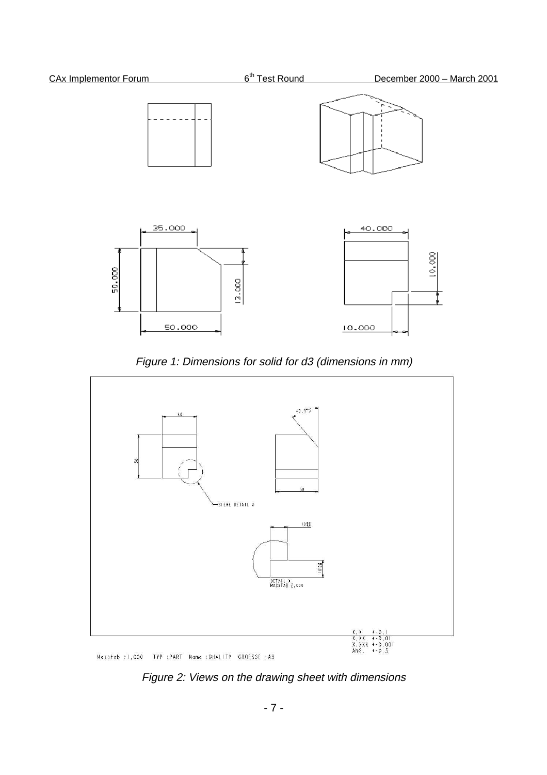

Figure 1: Dimensions for solid for d3 (dimensions in mm)



Figure 2: Views on the drawing sheet with dimensions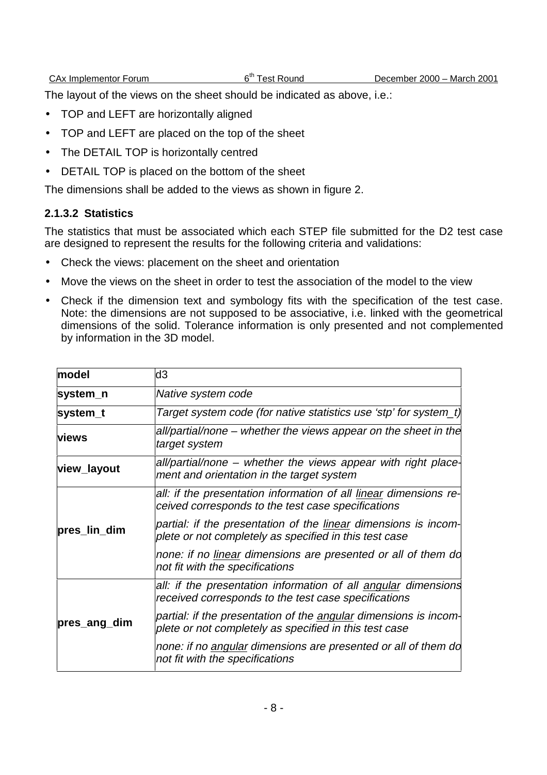The layout of the views on the sheet should be indicated as above, i.e.:

- TOP and LEFT are horizontally aligned
- TOP and LEFT are placed on the top of the sheet
- The DETAIL TOP is horizontally centred
- DETAIL TOP is placed on the bottom of the sheet

The dimensions shall be added to the views as shown in figure 2.

## **2.1.3.2 Statistics**

The statistics that must be associated which each STEP file submitted for the D2 test case are designed to represent the results for the following criteria and validations:

- Check the views: placement on the sheet and orientation
- Move the views on the sheet in order to test the association of the model to the view
- Check if the dimension text and symbology fits with the specification of the test case. Note: the dimensions are not supposed to be associative, i.e. linked with the geometrical dimensions of the solid. Tolerance information is only presented and not complemented by information in the 3D model.

| model        | d3                                                                                                                         |
|--------------|----------------------------------------------------------------------------------------------------------------------------|
| system_n     | Native system code                                                                                                         |
| system_t     | Target system code (for native statistics use 'stp' for system_t)                                                          |
| <b>Views</b> | all/partial/none – whether the views appear on the sheet in the<br>target system                                           |
| view_layout  | all/partial/none – whether the views appear with right place-<br>ment and orientation in the target system                 |
|              | all: if the presentation information of all linear dimensions re-<br>ceived corresponds to the test case specifications    |
| pres_lin_dim | partial: if the presentation of the linear dimensions is incom-<br>plete or not completely as specified in this test case  |
|              | none: if no linear dimensions are presented or all of them do<br>not fit with the specifications                           |
|              | all: if the presentation information of all angular dimensions<br>received corresponds to the test case specifications     |
| pres_ang_dim | partial: if the presentation of the angular dimensions is incom-<br>plete or not completely as specified in this test case |
|              | none: if no angular dimensions are presented or all of them do<br>not fit with the specifications                          |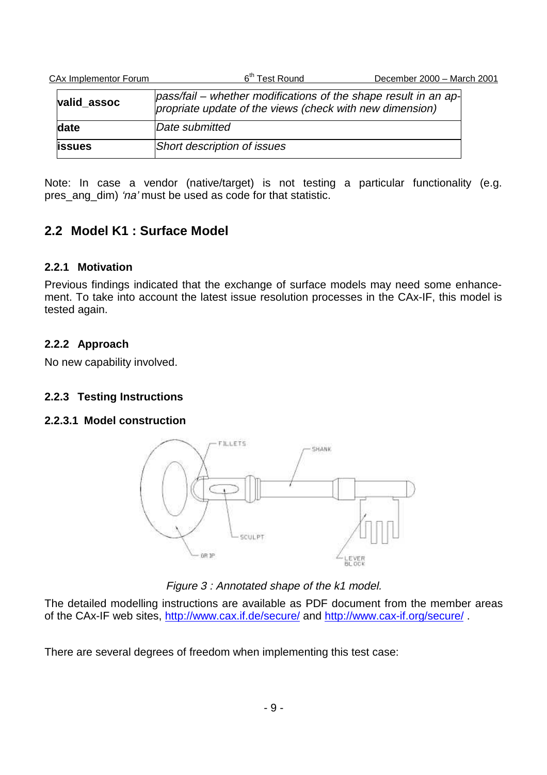| CAx Implementor Forum | 6 <sup>th</sup> Test Round                                                                                                  | December 2000 - March 2001 |
|-----------------------|-----------------------------------------------------------------------------------------------------------------------------|----------------------------|
| valid assoc           | pass/fail – whether modifications of the shape result in an ap-<br>propriate update of the views (check with new dimension) |                            |
| date                  | Date submitted                                                                                                              |                            |
| <b>lissues</b>        | Short description of issues                                                                                                 |                            |

Note: In case a vendor (native/target) is not testing a particular functionality (e.g. pres\_ang\_dim) 'na' must be used as code for that statistic.

# **2.2 Model K1 : Surface Model**

## **2.2.1 Motivation**

Previous findings indicated that the exchange of surface models may need some enhancement. To take into account the latest issue resolution processes in the CAx-IF, this model is tested again.

## **2.2.2 Approach**

No new capability involved.

## **2.2.3 Testing Instructions**

## **2.2.3.1 Model construction**



Figure 3 : Annotated shape of the k1 model.

The detailed modelling instructions are available as PDF document from the member areas of the CAx-IF web sites, http://www.cax.if.de/secure/ and http://www.cax-if.org/secure/ .

There are several degrees of freedom when implementing this test case: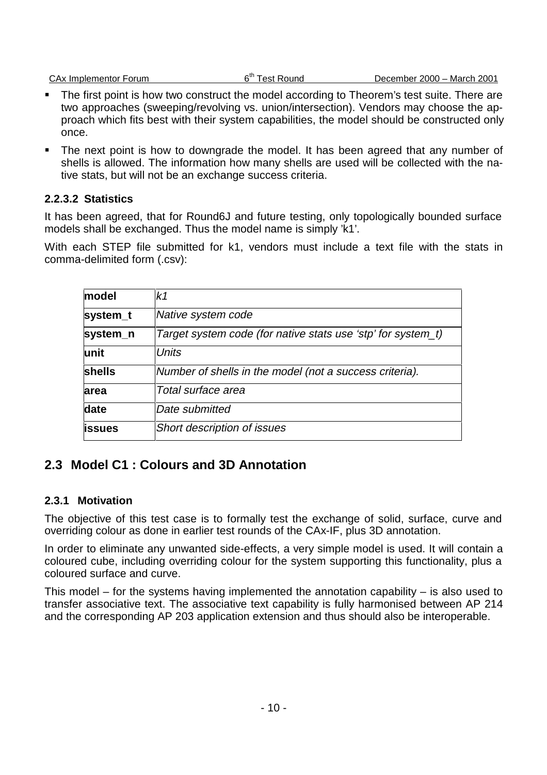CAx Implementor Forum 6<sup>th</sup> Test Round December 2000 – March 2001

- The first point is how two construct the model according to Theorem's test suite. There are two approaches (sweeping/revolving vs. union/intersection). Vendors may choose the approach which fits best with their system capabilities, the model should be constructed only once.
- The next point is how to downgrade the model. It has been agreed that any number of shells is allowed. The information how many shells are used will be collected with the native stats, but will not be an exchange success criteria.

## **2.2.3.2 Statistics**

It has been agreed, that for Round6J and future testing, only topologically bounded surface models shall be exchanged. Thus the model name is simply 'k1'.

With each STEP file submitted for k1, vendors must include a text file with the stats in comma-delimited form (.csv):

| model         | k1                                                           |
|---------------|--------------------------------------------------------------|
| system_t      | Native system code                                           |
| system_n      | Target system code (for native stats use 'stp' for system_t) |
| lunit         | <b>Units</b>                                                 |
| shells        | Number of shells in the model (not a success criteria).      |
| area          | Total surface area                                           |
| date          | Date submitted                                               |
| <b>issues</b> | <b>Short description of issues</b>                           |

# **2.3 Model C1 : Colours and 3D Annotation**

## **2.3.1 Motivation**

The objective of this test case is to formally test the exchange of solid, surface, curve and overriding colour as done in earlier test rounds of the CAx-IF, plus 3D annotation.

In order to eliminate any unwanted side-effects, a very simple model is used. It will contain a coloured cube, including overriding colour for the system supporting this functionality, plus a coloured surface and curve.

This model – for the systems having implemented the annotation capability – is also used to transfer associative text. The associative text capability is fully harmonised between AP 214 and the corresponding AP 203 application extension and thus should also be interoperable.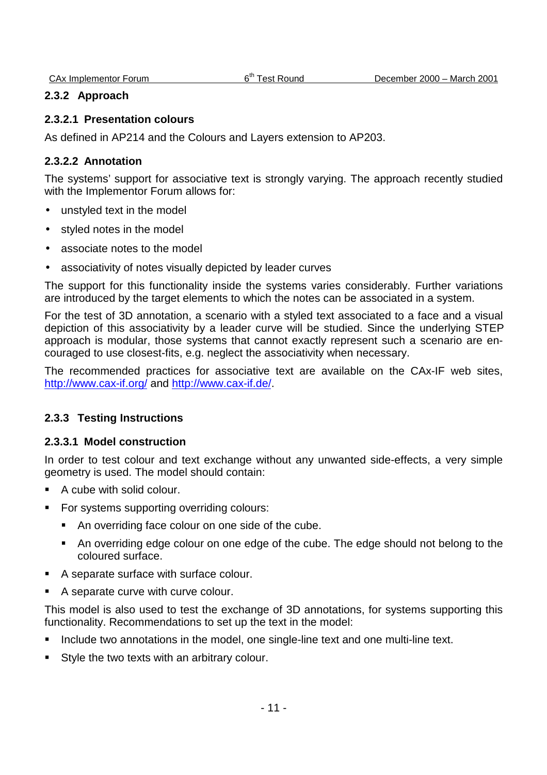#### **2.3.2 Approach**

#### **2.3.2.1 Presentation colours**

As defined in AP214 and the Colours and Layers extension to AP203.

## **2.3.2.2 Annotation**

The systems' support for associative text is strongly varying. The approach recently studied with the Implementor Forum allows for:

- unstyled text in the model
- styled notes in the model
- associate notes to the model
- associativity of notes visually depicted by leader curves

The support for this functionality inside the systems varies considerably. Further variations are introduced by the target elements to which the notes can be associated in a system.

For the test of 3D annotation, a scenario with a styled text associated to a face and a visual depiction of this associativity by a leader curve will be studied. Since the underlying STEP approach is modular, those systems that cannot exactly represent such a scenario are encouraged to use closest-fits, e.g. neglect the associativity when necessary.

The recommended practices for associative text are available on the CAx-IF web sites, http://www.cax-if.org/ and http://www.cax-if.de/.

## **2.3.3 Testing Instructions**

## **2.3.3.1 Model construction**

In order to test colour and text exchange without any unwanted side-effects, a very simple geometry is used. The model should contain:

- A cube with solid colour.
- For systems supporting overriding colours:
	- An overriding face colour on one side of the cube.
	- An overriding edge colour on one edge of the cube. The edge should not belong to the coloured surface.
- A separate surface with surface colour.
- A separate curve with curve colour.

This model is also used to test the exchange of 3D annotations, for systems supporting this functionality. Recommendations to set up the text in the model:

- Include two annotations in the model, one single-line text and one multi-line text.
- Style the two texts with an arbitrary colour.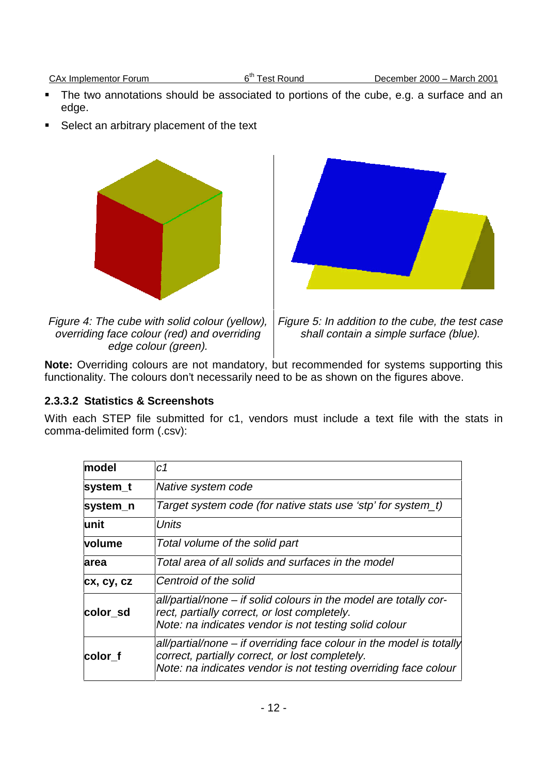- The two annotations should be associated to portions of the cube, e.g. a surface and an edge.
- Select an arbitrary placement of the text



**Note:** Overriding colours are not mandatory, but recommended for systems supporting this functionality. The colours don't necessarily need to be as shown on the figures above.

## **2.3.3.2 Statistics & Screenshots**

With each STEP file submitted for c1, vendors must include a text file with the stats in comma-delimited form (.csv):

| model         | с1                                                                                                                                                                                         |
|---------------|--------------------------------------------------------------------------------------------------------------------------------------------------------------------------------------------|
| system_t      | Native system code                                                                                                                                                                         |
| system_n      | Target system code (for native stats use 'stp' for system_t)                                                                                                                               |
| lunit         | <b>Units</b>                                                                                                                                                                               |
| <b>volume</b> | Total volume of the solid part                                                                                                                                                             |
| larea         | Total area of all solids and surfaces in the model                                                                                                                                         |
| cx, cy, cz    | Centroid of the solid                                                                                                                                                                      |
| color sd      | all/partial/none - if solid colours in the model are totally cor-<br>rect, partially correct, or lost completely.<br>Note: na indicates vendor is not testing solid colour                 |
| color f       | all/partial/none – if overriding face colour in the model is totally<br>correct, partially correct, or lost completely.<br>Note: na indicates vendor is not testing overriding face colour |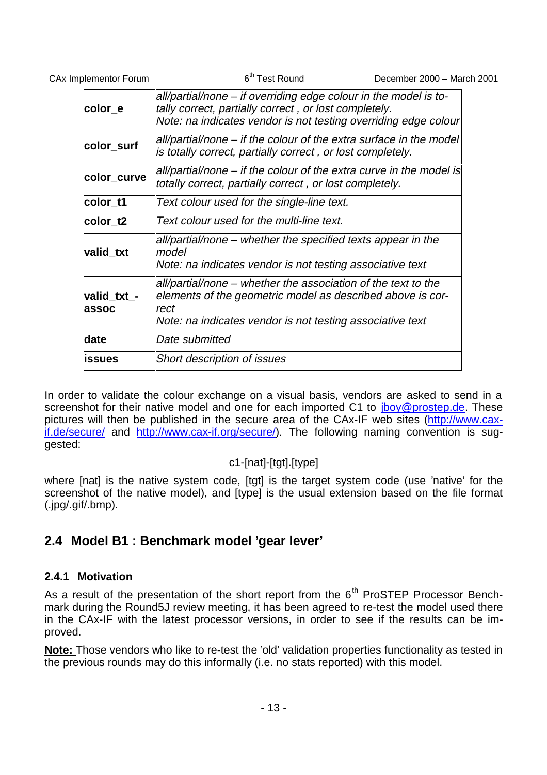| <b>CAx Implementor Forum</b> | 6 <sup>th</sup> Test Round                                                                                                                                                                       | December 2000 - March 2001 |
|------------------------------|--------------------------------------------------------------------------------------------------------------------------------------------------------------------------------------------------|----------------------------|
| color_e                      | all/partial/none – if overriding edge colour in the model is to-<br>tally correct, partially correct, or lost completely.<br>Note: na indicates vendor is not testing overriding edge colour     |                            |
| color_surf                   | all/partial/none – if the colour of the extra surface in the model<br>is totally correct, partially correct, or lost completely.                                                                 |                            |
| color_curve                  | all/partial/none – if the colour of the extra curve in the model is<br>totally correct, partially correct, or lost completely.                                                                   |                            |
| color_t1                     | Text colour used for the single-line text.                                                                                                                                                       |                            |
| color_t2                     | Text colour used for the multi-line text.                                                                                                                                                        |                            |
| valid txt                    | all/partial/none – whether the specified texts appear in the<br>model<br>Note: na indicates vendor is not testing associative text                                                               |                            |
| valid_txt_-<br>assoc         | all/partial/none – whether the association of the text to the<br>elements of the geometric model as described above is cor-<br>rect<br>Note: na indicates vendor is not testing associative text |                            |
| date                         | Date submitted                                                                                                                                                                                   |                            |
| issues                       | <b>Short description of issues</b>                                                                                                                                                               |                            |

In order to validate the colour exchange on a visual basis, vendors are asked to send in a screenshot for their native model and one for each imported C1 to jboy@prostep.de. These pictures will then be published in the secure area of the CAx-IF web sites (http://www.caxif.de/secure/ and http://www.cax-if.org/secure/). The following naming convention is suggested:

# c1-[nat]-[tgt].[type]

where [nat] is the native system code, [tgt] is the target system code (use 'native' for the screenshot of the native model), and [type] is the usual extension based on the file format (.jpg/.gif/.bmp).

# **2.4 Model B1 : Benchmark model 'gear lever'**

# **2.4.1 Motivation**

As a result of the presentation of the short report from the  $6<sup>th</sup>$  ProSTEP Processor Benchmark during the Round5J review meeting, it has been agreed to re-test the model used there in the CAx-IF with the latest processor versions, in order to see if the results can be improved.

**Note:** Those vendors who like to re-test the 'old' validation properties functionality as tested in the previous rounds may do this informally (i.e. no stats reported) with this model.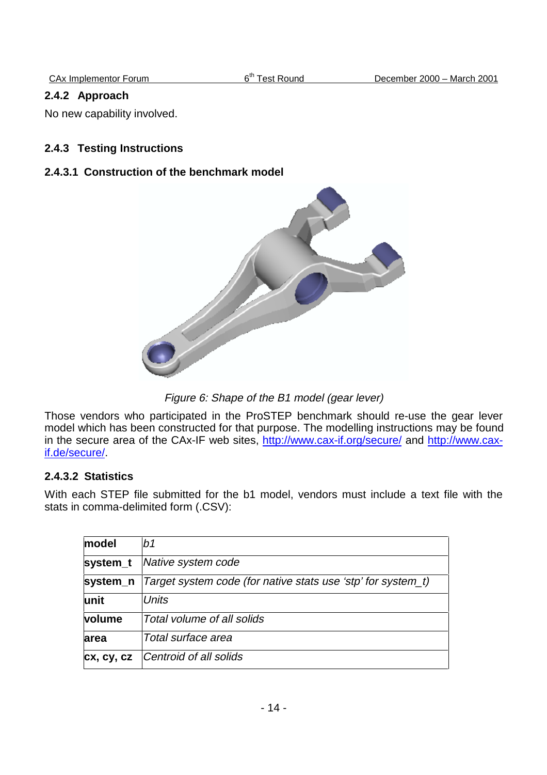## **2.4.2 Approach**

No new capability involved.

## **2.4.3 Testing Instructions**

## **2.4.3.1 Construction of the benchmark model**



Figure 6: Shape of the B1 model (gear lever)

Those vendors who participated in the ProSTEP benchmark should re-use the gear lever model which has been constructed for that purpose. The modelling instructions may be found in the secure area of the CAx-IF web sites, http://www.cax-if.org/secure/ and http://www.caxif.de/secure/.

## **2.4.3.2 Statistics**

With each STEP file submitted for the b1 model, vendors must include a text file with the stats in comma-delimited form (.CSV):

| model      | b <sub>1</sub>                                               |
|------------|--------------------------------------------------------------|
| system_t   | Native system code                                           |
| system_n   | Target system code (for native stats use 'stp' for system_t) |
| lunit      | Units                                                        |
| volume     | Total volume of all solids                                   |
| area       | Total surface area                                           |
| cx, cy, cz | Centroid of all solids                                       |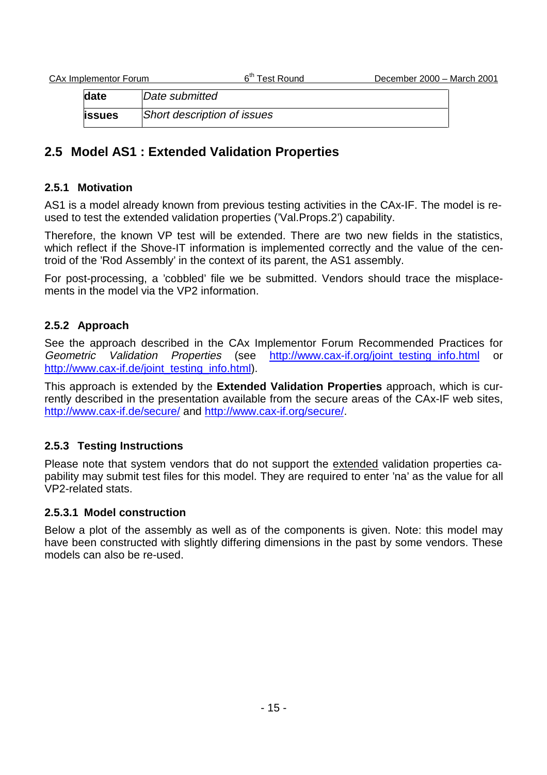**date** Date submitted **issues** Short description of issues

# **2.5 Model AS1 : Extended Validation Properties**

## **2.5.1 Motivation**

AS1 is a model already known from previous testing activities in the CAx-IF. The model is reused to test the extended validation properties ('Val.Props.2') capability.

Therefore, the known VP test will be extended. There are two new fields in the statistics, which reflect if the Shove-IT information is implemented correctly and the value of the centroid of the 'Rod Assembly' in the context of its parent, the AS1 assembly.

For post-processing, a 'cobbled' file we be submitted. Vendors should trace the misplacements in the model via the VP2 information.

## **2.5.2 Approach**

See the approach described in the CAx Implementor Forum Recommended Practices for Geometric Validation Properties (see http://www.cax-if.org/joint\_testing\_info.html or http://www.cax-if.de/joint\_testing\_info.html).

This approach is extended by the **Extended Validation Properties** approach, which is currently described in the presentation available from the secure areas of the CAx-IF web sites, http://www.cax-if.de/secure/ and http://www.cax-if.org/secure/.

## **2.5.3 Testing Instructions**

Please note that system vendors that do not support the extended validation properties capability may submit test files for this model. They are required to enter 'na' as the value for all VP2-related stats.

## **2.5.3.1 Model construction**

Below a plot of the assembly as well as of the components is given. Note: this model may have been constructed with slightly differing dimensions in the past by some vendors. These models can also be re-used.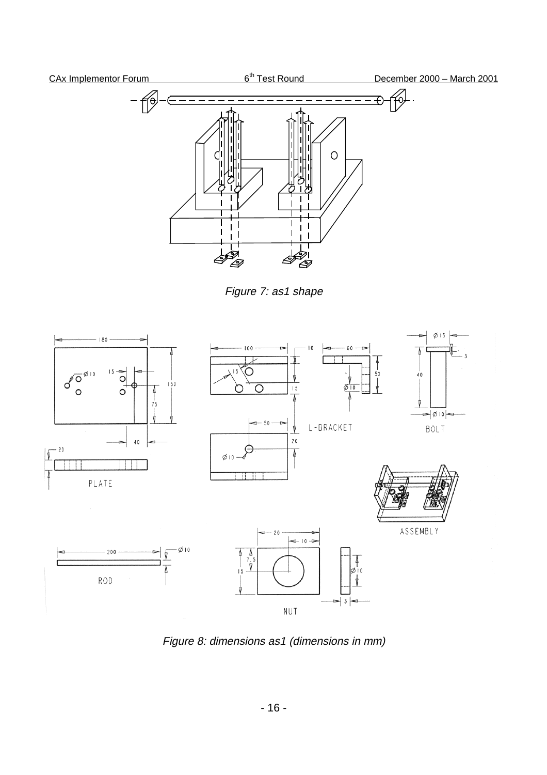# CAx Implementor Forum 6<sup>th</sup> Test Round December 2000 – March 2001  $\circ$ II<br>LI Ĝ  $\epsilon$

Figure 7: as1 shape



Figure 8: dimensions as1 (dimensions in mm)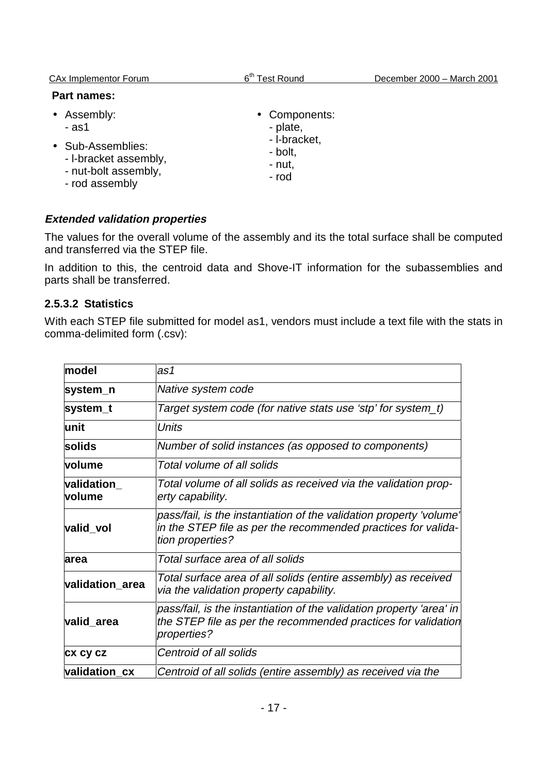| <b>CAx Implementor Forum</b>                                                                                 | 6 <sup>th</sup><br><b>Test Round</b>                                    | December 2000 - March 2001 |
|--------------------------------------------------------------------------------------------------------------|-------------------------------------------------------------------------|----------------------------|
| <b>Part names:</b>                                                                                           |                                                                         |                            |
| • Assembly:<br>- as1<br>• Sub-Assemblies:<br>- I-bracket assembly,<br>- nut-bolt assembly,<br>- rod assembly | • Components:<br>- plate,<br>- I-bracket,<br>- bolt,<br>- nut,<br>- rod |                            |

## **Extended validation properties**

The values for the overall volume of the assembly and its the total surface shall be computed and transferred via the STEP file.

In addition to this, the centroid data and Shove-IT information for the subassemblies and parts shall be transferred.

## **2.5.3.2 Statistics**

With each STEP file submitted for model as1, vendors must include a text file with the stats in comma-delimited form (.csv):

| lmodel                      | as1                                                                                                                                                      |
|-----------------------------|----------------------------------------------------------------------------------------------------------------------------------------------------------|
| system_n                    | Native system code                                                                                                                                       |
| system_t                    | Target system code (for native stats use 'stp' for system_t)                                                                                             |
| lunit                       | Units                                                                                                                                                    |
| solids                      | Number of solid instances (as opposed to components)                                                                                                     |
| volume                      | Total volume of all solids                                                                                                                               |
| validation<br><b>volume</b> | Total volume of all solids as received via the validation prop-<br>erty capability.                                                                      |
| valid_vol                   | pass/fail, is the instantiation of the validation property 'volume'<br>in the STEP file as per the recommended practices for valida-<br>tion properties? |
| area                        | Total surface area of all solids                                                                                                                         |
| validation_area             | Total surface area of all solids (entire assembly) as received<br>via the validation property capability.                                                |
| valid_area                  | pass/fail, is the instantiation of the validation property 'area' in<br>the STEP file as per the recommended practices for validation<br>properties?     |
| <b>CX CY CZ</b>             | Centroid of all solids                                                                                                                                   |
| validation_cx               | Centroid of all solids (entire assembly) as received via the                                                                                             |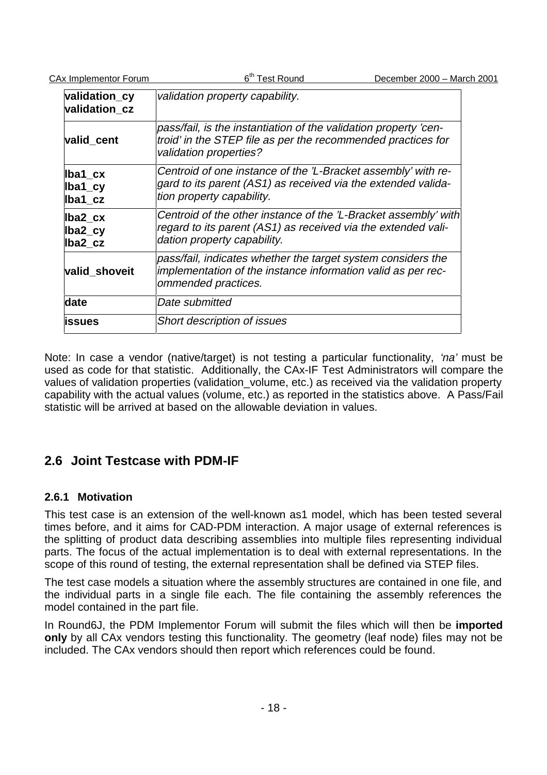| validation_cy<br>validation_cz  | validation property capability.                                                                                                                                 |
|---------------------------------|-----------------------------------------------------------------------------------------------------------------------------------------------------------------|
| valid cent                      | pass/fail, is the instantiation of the validation property 'cen-<br>troid' in the STEP file as per the recommended practices for<br>validation properties?      |
| lba1_cx<br>$Iba1_cy$<br>Iba1 cz | Centroid of one instance of the 'L-Bracket assembly' with re-<br>gard to its parent (AS1) as received via the extended valida-<br>tion property capability.     |
| lba2_cx<br>lba2_cy<br>lba2 cz   | Centroid of the other instance of the 'L-Bracket assembly' with<br>regard to its parent (AS1) as received via the extended vali-<br>dation property capability. |
| valid_shoveit                   | pass/fail, indicates whether the target system considers the<br>implementation of the instance information valid as per rec-<br>ommended practices.             |
| date                            | Date submitted                                                                                                                                                  |
| issues                          | Short description of issues                                                                                                                                     |

Note: In case a vendor (native/target) is not testing a particular functionality, 'na' must be used as code for that statistic. Additionally, the CAx-IF Test Administrators will compare the values of validation properties (validation\_volume, etc.) as received via the validation property capability with the actual values (volume, etc.) as reported in the statistics above. A Pass/Fail statistic will be arrived at based on the allowable deviation in values.

# **2.6 Joint Testcase with PDM-IF**

## **2.6.1 Motivation**

This test case is an extension of the well-known as1 model, which has been tested several times before, and it aims for CAD-PDM interaction. A major usage of external references is the splitting of product data describing assemblies into multiple files representing individual parts. The focus of the actual implementation is to deal with external representations. In the scope of this round of testing, the external representation shall be defined via STEP files.

The test case models a situation where the assembly structures are contained in one file, and the individual parts in a single file each. The file containing the assembly references the model contained in the part file.

In Round6J, the PDM Implementor Forum will submit the files which will then be **imported only** by all CAx vendors testing this functionality. The geometry (leaf node) files may not be included. The CAx vendors should then report which references could be found.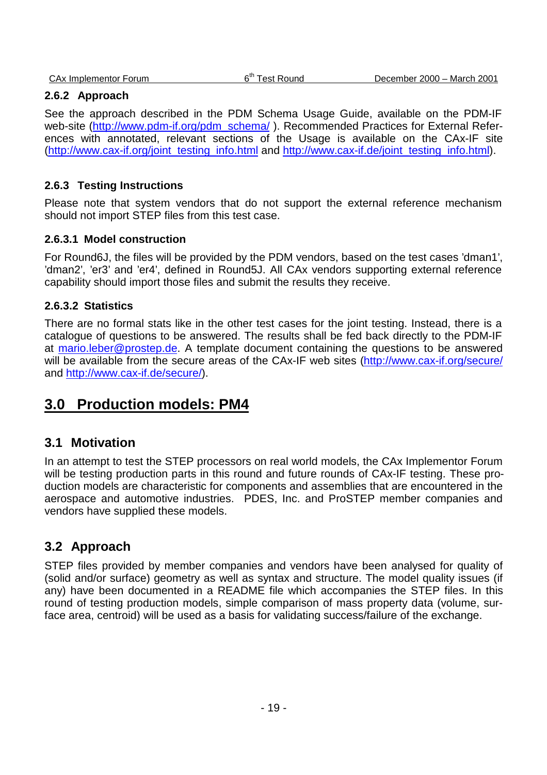#### **2.6.2 Approach**

See the approach described in the PDM Schema Usage Guide, available on the PDM-IF web-site (http://www.pdm-if.org/pdm\_schema/). Recommended Practices for External References with annotated, relevant sections of the Usage is available on the CAx-IF site (http://www.cax-if.org/joint\_testing\_info.html and http://www.cax-if.de/joint\_testing\_info.html).

#### **2.6.3 Testing Instructions**

Please note that system vendors that do not support the external reference mechanism should not import STEP files from this test case.

#### **2.6.3.1 Model construction**

For Round6J, the files will be provided by the PDM vendors, based on the test cases 'dman1', 'dman2', 'er3' and 'er4', defined in Round5J. All CAx vendors supporting external reference capability should import those files and submit the results they receive.

#### **2.6.3.2 Statistics**

There are no formal stats like in the other test cases for the joint testing. Instead, there is a catalogue of questions to be answered. The results shall be fed back directly to the PDM-IF at mario.leber@prostep.de. A template document containing the questions to be answered will be available from the secure areas of the CAx-IF web sites (http://www.cax-if.org/secure/ and http://www.cax-if.de/secure/).

# **3.0 Production models: PM4**

## **3.1 Motivation**

In an attempt to test the STEP processors on real world models, the CAx Implementor Forum will be testing production parts in this round and future rounds of CAx-IF testing. These production models are characteristic for components and assemblies that are encountered in the aerospace and automotive industries. PDES, Inc. and ProSTEP member companies and vendors have supplied these models.

## **3.2 Approach**

STEP files provided by member companies and vendors have been analysed for quality of (solid and/or surface) geometry as well as syntax and structure. The model quality issues (if any) have been documented in a README file which accompanies the STEP files. In this round of testing production models, simple comparison of mass property data (volume, surface area, centroid) will be used as a basis for validating success/failure of the exchange.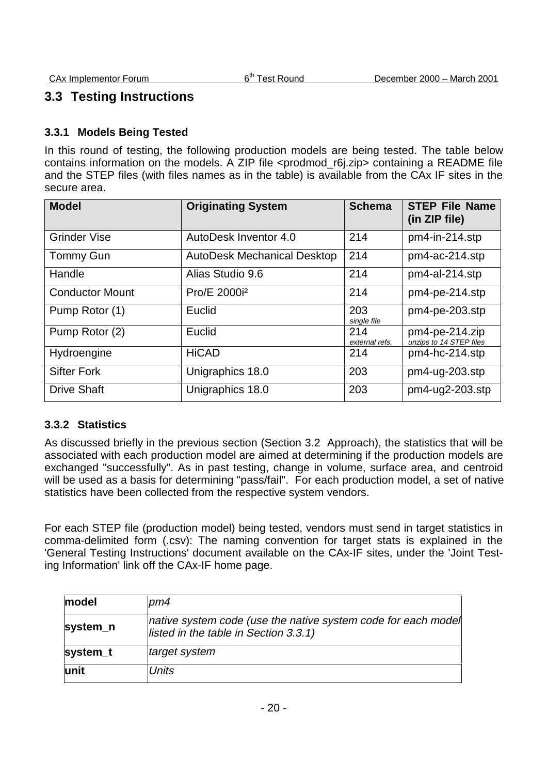# **3.3 Testing Instructions**

## **3.3.1 Models Being Tested**

In this round of testing, the following production models are being tested. The table below contains information on the models. A ZIP file <prodmod\_r6j.zip> containing a README file and the STEP files (with files names as in the table) is available from the CAx IF sites in the secure area.

| <b>Model</b>           | <b>Originating System</b>          | <b>Schema</b>         | <b>STEP File Name</b><br>(in ZIP file)       |
|------------------------|------------------------------------|-----------------------|----------------------------------------------|
| <b>Grinder Vise</b>    | AutoDesk Inventor 4.0              | 214                   | pm4-in-214.stp                               |
| <b>Tommy Gun</b>       | <b>AutoDesk Mechanical Desktop</b> | 214                   | pm4-ac-214.stp                               |
| Handle                 | Alias Studio 9.6                   | 214                   | pm4-al-214.stp                               |
| <b>Conductor Mount</b> | Pro/E 2000i <sup>2</sup>           | 214                   | pm4-pe-214.stp                               |
| Pump Rotor (1)         | Euclid                             | 203<br>single file    | pm4-pe-203.stp                               |
| Pump Rotor (2)         | Euclid                             | 214<br>external refs. | $pm4$ -pe-214.zip<br>unzips to 14 STEP files |
| Hydroengine            | <b>HiCAD</b>                       | 214                   | pm4-hc-214.stp                               |
| <b>Sifter Fork</b>     | Unigraphics 18.0                   | 203                   | pm4-ug-203.stp                               |
| <b>Drive Shaft</b>     | Unigraphics 18.0                   | 203                   | $pm4$ -ug $2$ -203.stp                       |

## **3.3.2 Statistics**

As discussed briefly in the previous section (Section 3.2 Approach), the statistics that will be associated with each production model are aimed at determining if the production models are exchanged "successfully". As in past testing, change in volume, surface area, and centroid will be used as a basis for determining "pass/fail". For each production model, a set of native statistics have been collected from the respective system vendors.

For each STEP file (production model) being tested, vendors must send in target statistics in comma-delimited form (.csv): The naming convention for target stats is explained in the 'General Testing Instructions' document available on the CAx-IF sites, under the 'Joint Testing Information' link off the CAx-IF home page.

| model    | pm4                                                                                                       |
|----------|-----------------------------------------------------------------------------------------------------------|
| system_n | native system code (use the native system code for each model<br>listed in the table in Section $3.3.1$ ) |
| system_t | target system                                                                                             |
| lunit    | Units                                                                                                     |